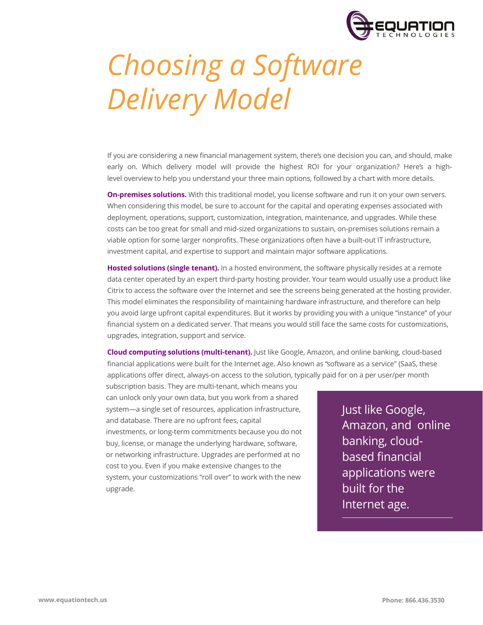

## *Choosing a Software Delivery Model*

If you are considering a new financial management system, there's one decision you can, and should, make early on. Which delivery model will provide the highest ROI for your organization? Here's a highlevel overview to help you understand your three main options, followed by a chart with more details.

**On-premises solutions.** With this traditional model, you license software and run it on your own servers. When considering this model, be sure to account for the capital and operating expenses associated with deployment, operations, support, customization, integration, maintenance, and upgrades. While these costs can be too great for small and mid-sized organizations to sustain, on-premises solutions remain a viable option for some larger nonprofits. These organizations often have a built-out IT infrastructure, investment capital, and expertise to support and maintain major software applications.

**Hosted solutions (single tenant).** In a hosted environment, the software physically resides at a remote data center operated by an expert third-party hosting provider. Your team would usually use a product like Citrix to access the software over the Internet and see the screens being generated at the hosting provider. This model eliminates the responsibility of maintaining hardware infrastructure, and therefore can help you avoid large upfront capital expenditures. But it works by providing you with a unique "instance" of your financial system on a dedicated server. That means you would still face the same costs for customizations, upgrades, integration, support and service.

**Cloud computing solutions (multi-tenant).** Just like Google, Amazon, and online banking, cloud-based financial applications were built for the Internet age. Also known as "software as a service" (SaaS, these applications offer direct, always-on access to the solution, typically paid for on a per user/per month

system—a single set of resources, application infrastructure, and database. There are no upfront fees, capital investments, or long-term commitments because you do not buy, license, or manage the underlying hardware, software, or networking infrastructure. Upgrades are performed at no cost to you. Even if you make extensive changes to the system, your customizations "roll over" to work with the new upgrade. subscription basis. They are multi-tenant, which means you can unlock only your own data, but you work from a shared

Just like Google, Amazon, and online banking, cloudbased financial applications were built for the Internet age.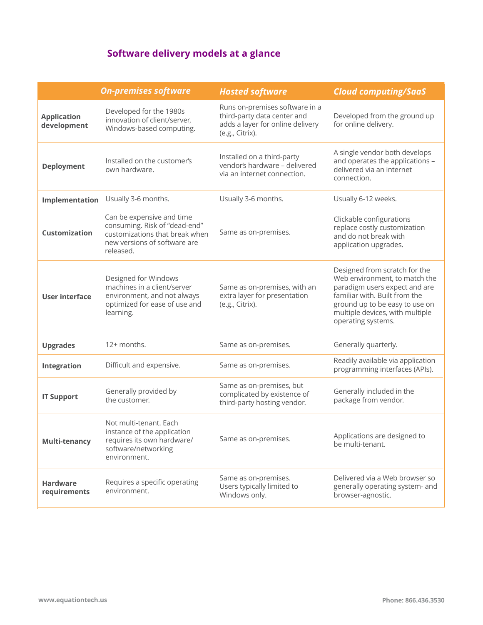## **Software delivery models at a glance**

|                                   | <b>On-premises software</b>                                                                                                               | <b>Hosted software</b>                                                                                               | <b>Cloud computing/SaaS</b>                                                                                                                                                                                                 |
|-----------------------------------|-------------------------------------------------------------------------------------------------------------------------------------------|----------------------------------------------------------------------------------------------------------------------|-----------------------------------------------------------------------------------------------------------------------------------------------------------------------------------------------------------------------------|
| <b>Application</b><br>development | Developed for the 1980s<br>innovation of client/server,<br>Windows-based computing.                                                       | Runs on-premises software in a<br>third-party data center and<br>adds a layer for online delivery<br>(e.g., Citrix). | Developed from the ground up<br>for online delivery.                                                                                                                                                                        |
| <b>Deployment</b>                 | Installed on the customer's<br>own hardware.                                                                                              | Installed on a third-party<br>vendor's hardware - delivered<br>via an internet connection.                           | A single vendor both develops<br>and operates the applications -<br>delivered via an internet<br>connection.                                                                                                                |
| Implementation                    | Usually 3-6 months.                                                                                                                       | Usually 3-6 months.                                                                                                  | Usually 6-12 weeks.                                                                                                                                                                                                         |
| Customization                     | Can be expensive and time<br>consuming. Risk of "dead-end"<br>customizations that break when<br>new versions of software are<br>released. | Same as on-premises.                                                                                                 | Clickable configurations<br>replace costly customization<br>and do not break with<br>application upgrades.                                                                                                                  |
| User interface                    | Designed for Windows<br>machines in a client/server<br>environment, and not always<br>optimized for ease of use and<br>learning.          | Same as on-premises, with an<br>extra layer for presentation<br>(e.g., Citrix).                                      | Designed from scratch for the<br>Web environment, to match the<br>paradigm users expect and are<br>familiar with. Built from the<br>ground up to be easy to use on<br>multiple devices, with multiple<br>operating systems. |
| <b>Upgrades</b>                   | 12+ months.                                                                                                                               | Same as on-premises.                                                                                                 | Generally quarterly.                                                                                                                                                                                                        |
| Integration                       | Difficult and expensive.                                                                                                                  | Same as on-premises.                                                                                                 | Readily available via application<br>programming interfaces (APIs).                                                                                                                                                         |
| <b>IT Support</b>                 | Generally provided by<br>the customer.                                                                                                    | Same as on-premises, but<br>complicated by existence of<br>third-party hosting vendor.                               | Generally included in the<br>package from vendor.                                                                                                                                                                           |
| Multi-tenancy                     | Not multi-tenant. Each<br>instance of the application<br>requires its own hardware/<br>software/networking<br>environment.                | Same as on-premises.                                                                                                 | Applications are designed to<br>be multi-tenant.                                                                                                                                                                            |
| <b>Hardware</b><br>requirements   | Requires a specific operating<br>environment.                                                                                             | Same as on-premises.<br>Users typically limited to<br>Windows only.                                                  | Delivered via a Web browser so<br>generally operating system- and<br>browser-agnostic.                                                                                                                                      |